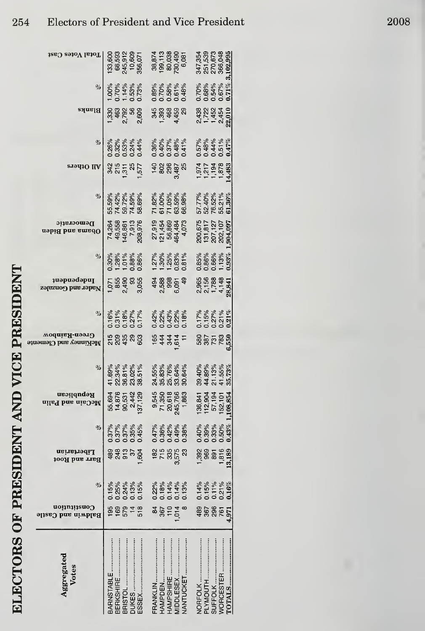| イン・リート くしゃく ていくしょう しゃくしんき     |  |
|-------------------------------|--|
| )                             |  |
| <b>CHAPTER CERTS ENGINEER</b> |  |
| <br> <br>                     |  |
| (ハハトバー)                       |  |

| Aggregated<br>Votes                                 | Constitution<br>Baldwin and Castle | $\%$                                                | Libertarian<br>Barr and Root    | %                                            | Republican<br>ailed hae aieOoM                                 | $\%$                                                     | Green-Rainbow<br>McKinney and Clemente | %                                                   | <b>1</b> uəbaəqenl<br>Nader and Gonzalez           | %                                            | Democratic<br>asbi& bas smadO                       | %                                                 | All Others  | %                                              | Blanks                                     | $\%$                                                                          | Total Votes Cast                                                                         |
|-----------------------------------------------------|------------------------------------|-----------------------------------------------------|---------------------------------|----------------------------------------------|----------------------------------------------------------------|----------------------------------------------------------|----------------------------------------|-----------------------------------------------------|----------------------------------------------------|----------------------------------------------|-----------------------------------------------------|---------------------------------------------------|-------------|------------------------------------------------|--------------------------------------------|-------------------------------------------------------------------------------|------------------------------------------------------------------------------------------|
| BARNSTABLE<br>BRISTOL<br><b>DUKES </b><br>BERKSHIRE | 88878                              | $0.15%$<br>$0.23%$<br>$0.024%$<br>$0.015%$          | 8885564                         | 0.37%<br>0.37%<br>0.0.95%<br>0.0.0.0         | 55,694<br>14,675<br>15,442<br>157,129                          | $41.69%$<br>$42.34%$<br>$43.61%$<br>$45.02%$<br>$45.51%$ | <u>ក្ខ</u> ្លួន ខ្លួ                   | 0.16%<br>0.31%<br>0.027%<br>0.17%                   | ದ್ದ ಹಿತ್ತೆ ಹಿತ್ತೆ<br>ಗ್ರಾಂತ್ಷ ಹಿತ್ತೆ<br>ಗ್ರಾಂತ್ಷ ಕ | 0.30%<br>1.28%<br>1.0.88%<br>0.88%           | 208,976<br>74,264<br>49,558<br>146,861<br>7,913     | 74.42%<br>59.72%<br>74.59%<br>58.69%<br>55.59%    | 3558<br>577 | % % % % %<br>8.82% 3.44<br>0.0.0.0.0           | 2,609<br><b>5.3</b><br>បង្កុយ<br>ភូមិ ភូមិ | $\begin{array}{l} 1.00\% \\ 0.70\% \\ 0.53\% \\ 0.53\% \\ 0.03\% \end{array}$ | $\begin{array}{c} 133,600 \\ 66,593 \\ 245,912 \\ 10,609 \\ 156,071 \end{array}$         |
| FRANKLIN<br>HAMPSHIRE<br>MIDDLESEX<br>NANTUCKET     | $887048$<br>$7548$                 | $8888$<br>0.18%<br>0.0.14%                          | $87.858$<br>$3.58$              | $0.47%$<br>0.36%<br>0.42%<br>0.0.00          | 9,545<br>71,350<br>245,766<br>245,7663                         | %<br>8% 83%<br>85.8% 84%<br>85.83 89.84%                 | e <del>4</del> 4 4 1<br>R 4 4 4 1      |                                                     | ಕ್ಷ್ಣಾಕ್ಟ್ರಿಂತೆ<br>ಕ್ಷ್ಮಾಂತ್ರ<br>ಕ್ಷ್ಮಾಂತ್ರ        |                                              | 27,919<br>121,454<br>56,869<br>464,484<br>4,073     | 71.82%<br>61.00%<br>61.59%<br>68.98%              | 7888788     | $8888888$<br>$0.40988$<br>$0.5788$<br>$0.41\%$ |                                            | %89%<br>0.00%<br>0.0000<br>0.000                                              | $\begin{array}{c} 38,874 \\ 39,113 \\ 60,038 \\ 730,490 \\ 730,490 \\ 6,081 \end{array}$ |
| <b>TOTALS</b><br>NORFOLK<br>PLYMOUTH<br>SUFFOLK     | 88785<br>8888<br>4,971             | $0.14%$<br>$0.15%$<br>$0.11%$<br>$0.21%$<br>$0.16%$ | 1,392<br>969<br>1,816<br>13,189 | $0.43\%$<br>0.40%<br>0.39%<br>0.33%<br>0.50% | $136,841$<br>112,904<br>57,194<br>152,101<br>108,854<br>1,108, | 39.40%<br>44.89%<br>41.55%<br>41.55%<br>35.73%           | ទី<br>ទី១៤ ខែ<br>ទី១                   | $0.17%$<br>$0.15%$<br>$0.27%$<br>$0.21%$<br>$0.31%$ | 0<br>0<br>0<br>0<br>0<br>1<br>4<br>4<br>28,841     | $0.93\%$<br>0.85%<br>0.86%<br>0.66%<br>1.13% | 200,675<br>131,817<br>207,127<br>202,107<br>904,097 | $61.36\%$<br>57.77%<br>52.40%<br>76.52%<br>55.21% | 14,483      | 0.47%<br>0.57%<br>0.48%<br>0.44%<br>0.51%      | 82224<br>3244<br>21-02<br>22,010           | $0.71\%$<br>0.70%<br>0.68%<br>0.54%<br>0.67%                                  | ,995<br>347,354<br>251,539<br>270,673<br>366,048<br>3,102,                               |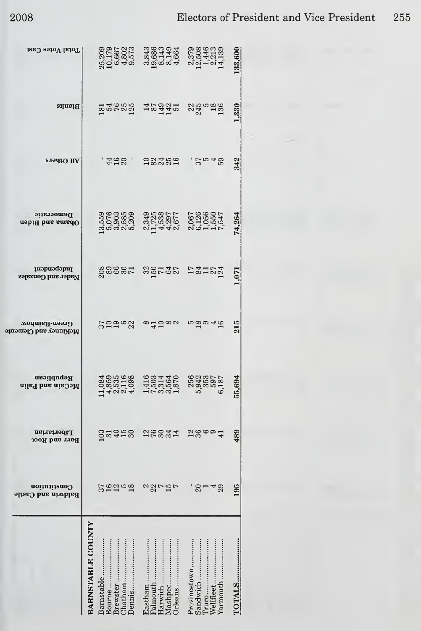$\mathbf{a}$ 

| Total Votes Cast                                              |                   |            |        |          | 826285 3264526 3264526<br>216865 3264516 3264516<br>22666 3364516 3264516  |         |        |         |         |         |              |                                |       |           |                  | .33,600    |  |
|---------------------------------------------------------------|-------------------|------------|--------|----------|----------------------------------------------------------------------------|---------|--------|---------|---------|---------|--------------|--------------------------------|-------|-----------|------------------|------------|--|
| Blanks                                                        |                   |            |        |          | <b>BRARS 19831</b> 84 198                                                  |         |        |         |         |         |              |                                |       |           |                  | 1,330      |  |
| All Others                                                    |                   |            |        |          | $428$ 28232                                                                |         |        |         |         |         |              | 57.548                         |       |           |                  | 342        |  |
| Democratic<br>Obama and Biden                                 |                   |            |        |          |                                                                            |         |        |         |         |         |              |                                |       |           |                  | 74,264     |  |
| Independent<br>Nader and Gonzalez                             |                   |            |        |          | ossest serge rænde                                                         |         |        |         |         |         |              |                                |       |           |                  | 1,071      |  |
| Green-Rainbow<br>McKinney and Clement                         |                   |            |        |          | ೞ೨೨೨ ನ ∞ದಿದ∞ ೫                                                             |         |        |         |         |         |              | 100046                         |       |           |                  | 215        |  |
| Republican<br>McCain and Palin                                |                   |            |        |          | H4004 HL999 HT40091 H40091<br>State Hours 2012-001<br>State Hours 2012-001 |         |        |         |         |         |              |                                |       |           |                  | 55,694     |  |
| Libertarian<br>Barr and Root                                  |                   |            |        |          | <b>Suder</b><br>Budge                                                      |         | 26234  |         |         |         |              | $2\degree$ $\degree$ $\degree$ |       |           |                  | 489        |  |
| $\,$ uom $\,$ intia $\,$ uo $\,$<br><b>Baldwin and Castle</b> |                   |            |        |          |                                                                            |         | agriph |         |         |         |              | $3 - 48$                       |       |           |                  | 195        |  |
|                                                               | BARNSTABLE COUNTY | Barnstable | Bourne | Brewster | Jennis<br>Chatham                                                          | Eastham |        | Harwich | Mashpee | Orleans | Provincetown | Sandwich                       | Truro | Wellfleet | ${\tt Yarmouth}$ | <br>TOTALS |  |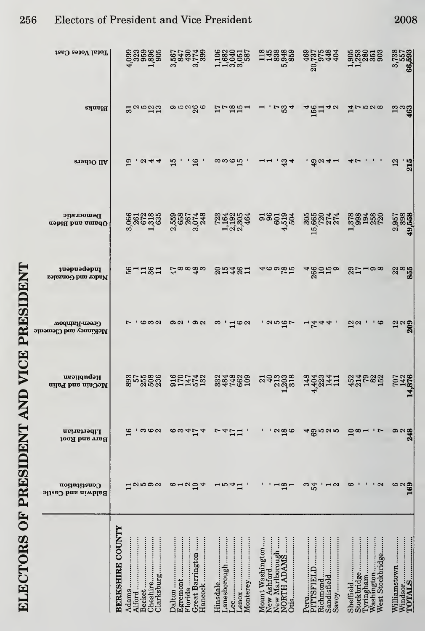|                                       | Constitution<br>Baldwin and Castle                | Libertarian<br>Barr and Root | Republican<br>McCain and Palin | Green-Rainbow<br>McKinney and Cleme | <b>Thdependent</b><br>Nader and Gonzalez | Democratic<br>Obama and Biden    |                         |                 | Total Votes Cast                      |
|---------------------------------------|---------------------------------------------------|------------------------------|--------------------------------|-------------------------------------|------------------------------------------|----------------------------------|-------------------------|-----------------|---------------------------------------|
|                                       |                                                   |                              |                                |                                     |                                          |                                  | <b>All Others</b>       | <b>Blanks</b>   |                                       |
| <b>BERKSHIRE COUNTY</b>               |                                                   |                              |                                |                                     |                                          |                                  |                         |                 |                                       |
| Alford<br>Adams                       | <b>H</b> anoa                                     | 16                           | <b>9975986</b><br>855988       | <b>10000</b>                        | $8 - 181$                                | 3,060<br>3,060<br>3,090<br>1,095 | $\mathbf{a}$            | 300022          |                                       |
| heshire<br>Becket                     |                                                   | ' က ယ လ                      |                                |                                     |                                          |                                  |                         |                 |                                       |
| Jlarksburg                            |                                                   |                              |                                |                                     |                                          |                                  |                         |                 |                                       |
| Jalton                                |                                                   |                              |                                | တလ                                  |                                          | $\mathbf{a}$                     |                         |                 |                                       |
| Florida<br>Egremont                   | $6 - 22$                                          |                              |                                |                                     |                                          |                                  | $\ddot{H}$              |                 |                                       |
| Freat Barrington<br>lancock           |                                                   | $\frac{60454}{50}$           | 91074<br>911452                | . ക പ                               | င္မွာ ထက္ရွိ က                           | 5587148<br>ကဲ                    |                         | ၜၗၐၛၜ           | 3,567<br>843073<br>3,758              |
| Hinsdale                              |                                                   | r                            |                                | က                                   |                                          |                                  |                         |                 |                                       |
| anesborough,<br>ee                    | 1041                                              | 4.71                         |                                |                                     |                                          |                                  |                         |                 | புப்பை                                |
| enox                                  |                                                   | $\overline{\phantom{a}}$     | 3348299                        | ⊣  ು                                | <b>SH4SH</b>                             | <b>sangga</b><br>Rangga          | က္မယ္ က က               | $1.535 - 1.5$   | 1082517                               |
| lonterey                              |                                                   |                              |                                |                                     |                                          |                                  |                         |                 |                                       |
| <b>Mount Washington</b><br>ew Ashford |                                                   |                              | gangg                          |                                     | 469851                                   | <b>58553</b>                     | $-1 - 34$               |                 | 1433459                               |
| ew Marlborough<br><b>ORTH ADAM</b>    |                                                   | $\alpha$ $\alpha$ $\alpha$   |                                | $\frac{1}{2}$                       |                                          |                                  |                         | $. - 224$       | IO.                                   |
| Otis                                  | $\frac{8}{1}$                                     |                              |                                |                                     |                                          | ⇥                                |                         |                 |                                       |
| Peru<br>PITTSFIELD                    | က                                                 |                              |                                |                                     |                                          |                                  |                         |                 |                                       |
| kichmond                              | 54                                                | ႕ အက္တက္ကက္                  | 1402111                        | $-544$                              | $\frac{460}{200}$                        | 565044<br>$\overline{15}$        | , ಕೆ ಜ 4 –              | 48140           | 469<br>20,737<br>20,738<br>448<br>404 |
| andisfield                            |                                                   |                              |                                |                                     |                                          |                                  |                         |                 |                                       |
| avoy                                  | $\overline{\phantom{a}}$ $\overline{\phantom{a}}$ |                              |                                |                                     |                                          |                                  |                         |                 |                                       |
| Sheffield                             | అ                                                 | $2^{\infty}$                 | 427822                         | លល                                  | $81 - 88$                                |                                  |                         | 40000           | <b>988858</b><br>988858               |
| Stockbridge<br>yringham               | ٠                                                 |                              |                                |                                     |                                          |                                  |                         |                 |                                       |
| Vashington                            |                                                   |                              |                                |                                     |                                          |                                  |                         |                 |                                       |
| Vest Stockbridge                      | $\cdot$ $\alpha$                                  | - 1                          |                                | అ                                   |                                          |                                  |                         |                 |                                       |
| Williamstown                          |                                                   |                              |                                |                                     |                                          |                                  | $\frac{2}{1}$           |                 |                                       |
| Windsor<br>FOTALS                     | $\frac{6}{169}$                                   | $\frac{58}{3}$               | <b>245</b><br>245              | ದ್ದರೆ<br>ನ                          | $\frac{22}{955}$                         | 2,957<br>2,998<br>9,558<br>49.   | $\overline{\mathbf{z}}$ | $\frac{13}{46}$ | 3,738<br>657<br><b>66,593</b>         |

 $_{\rm{apu}}$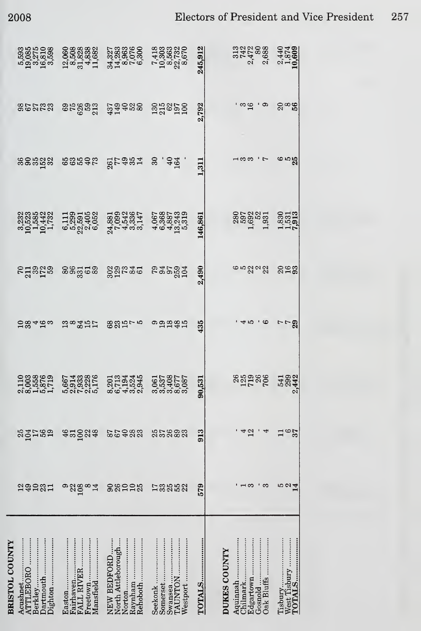|                       | 593<br>5085<br>5085<br>5085<br>5085<br>5085              | $\begin{array}{c} 12,060 \\ 2,508 \\ 3,5238 \\ 3.4,838 \\ 11,682 \end{array}$       | 3438306<br>34395076<br>3439506<br>67906                            | $\begin{array}{c} 7.418 \\ 10.3563 \\ 22.732 \\ 8.9732 \\ 8.9732 \\ 8.970 \\ \end{array}$ | 245,912    | 3132088<br>5747888<br>2008                                                          | 2,440<br>1,874<br>10,609     |
|-----------------------|----------------------------------------------------------|-------------------------------------------------------------------------------------|--------------------------------------------------------------------|-------------------------------------------------------------------------------------------|------------|-------------------------------------------------------------------------------------|------------------------------|
|                       | 85588                                                    | $35832$ $373938$                                                                    |                                                                    | 33852<br>23952                                                                            | 2,792      | ' ထ<br>ာ မ                                                                          | $2^\infty$                   |
|                       | នទន្លង់ខ្លួ                                              | <b>cordes</b>                                                                       | <b>25487</b>                                                       | $30 - 40$                                                                                 | 1,311      |                                                                                     | <b>၉</b><br>၁<br>၁<br>၁<br>၁ |
|                       | 3232<br>105285<br>10442<br>10442                         | $\begin{array}{c} 6.111 \\ 6.2931 \\ 2.3911 \\ 2.405 \\ 2.405 \\ 6.052 \end{array}$ |                                                                    |                                                                                           | 146,861    | 2802251<br>280252<br>280251                                                         | $\frac{1,830}{7,913}$        |
|                       | <b>213258</b>                                            | ಹಿಹಿದ್ದೆ ದಹಿ                                                                        | 888530                                                             | <b>Passan</b>                                                                             | 2,490      | ဖက္လာလည္လ                                                                           | 253                          |
|                       | ದ ಜಿ 4 ನ ಒ                                               | 188451                                                                              | 88575                                                              | ಅದನಹೆಸ                                                                                    | 435        |                                                                                     | r - 2<br>2                   |
|                       |                                                          | 5013386<br>5013386<br>501036                                                        | 0133445<br>0134445<br>004000                                       | 0618787<br>0637087787<br>063787787                                                        | 0,531<br>ಹ | 882588                                                                              | 543842                       |
|                       | sgarsa                                                   | $\frac{5}{3}$ % $\frac{4}{3}$<br>$rac{46}{31}$                                      | 85988                                                              | 309<br>309<br>25<br>23                                                                    | 913        | 12<br>◅                                                                             | $\frac{6}{3}$<br>$\Box$      |
|                       | <b>assan</b>                                             | 22<br>108<br>$\infty$<br>တ<br>$\mathbf{14}$                                         | 26<br>$\overline{10}$<br>နွ<br>$\frac{25}{25}$                     | 335<br>3352<br>17                                                                         | 579        | ၊ က<br>က                                                                            | 5<br>2<br>2<br>2<br>2        |
| <b>BRISTOL COUNTY</b> | Acushnet<br>Dighton<br>ATTLEBORO<br>Dartmouth<br>Berkley | Freetown<br>Fairhaven<br>Easton<br>Mansfield<br>FALL RIVER                          | Rehoboth<br>North Attleborough<br>Raynham<br>NEW BEDFORD<br>Norton | TAUNTON<br>Seekonk<br>Somerset<br>Westport<br>Swansea                                     | TOTALS     | <b>DUKES COUNTY</b><br>Edgartown<br>Chilmark<br>Oak Bluffs<br>Aquinnah<br>$Gosnold$ |                              |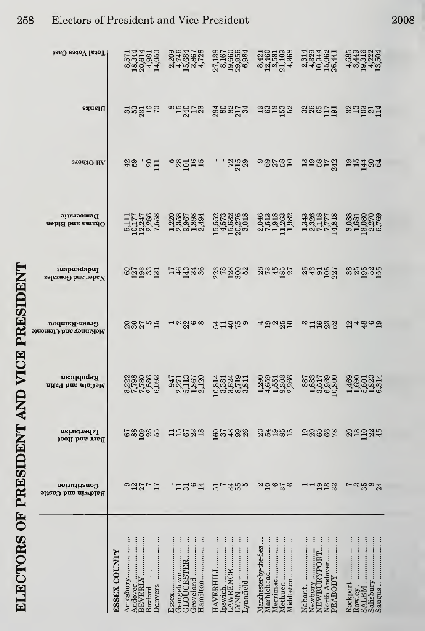| Total Votes Cast                          | 8,571<br>18,344<br>20,981<br>14,050<br>14,050                                                                            | 2009<br>2009<br>2009<br>2007<br>2009<br>2009<br>2009       | $\begin{array}{c} 27.138 \\ 8.160 \\ 19.956 \\ 29.984 \\ 6 \end{array}$                                                                                                           | $\begin{array}{c} 3.421 \\ 12.460 \\ 12.531 \\ 23.138 \\ 3.433 \\ 4.334 \\ \end{array}$ | 2523441<br>2523442<br>25062<br>26441                                        | 439622436436943624              |
|-------------------------------------------|--------------------------------------------------------------------------------------------------------------------------|------------------------------------------------------------|-----------------------------------------------------------------------------------------------------------------------------------------------------------------------------------|-----------------------------------------------------------------------------------------|-----------------------------------------------------------------------------|---------------------------------|
| Blanks                                    |                                                                                                                          | nnggas ang aggagga ngngg                                   |                                                                                                                                                                                   |                                                                                         | sagela sagaal                                                               |                                 |
| $319410$ IIV                              |                                                                                                                          | as si "sääa                                                | $\frac{1}{2}$ $\frac{1}{2}$ $\frac{25}{2}$ $\frac{2}{2}$                                                                                                                          |                                                                                         | oggasa mangta angka                                                         |                                 |
| Democratic<br>Obama and Biden             | $\begin{array}{c} 5,111 \\ 10,177 \\ 12,247 \\ 2,236 \\ 7,558 \\ \end{array}$                                            | 0001894<br>000604<br>000101                                | $15,552\n15,573\n15,932\n20,018\n3\n3\n4\n5\n6\n7\n8\n9\n15\n15\n15\n16\n17\n18\n19\n19\n19\n20\n3\n4\n4\n5\n6\n8\n9\n18\n19\n19\n19\n20\n3\n4\n5\n6\n6\n7\n8\n9\n19\n19\n19\n19$ |                                                                                         | $\begin{array}{c} 1.343 \\ 2.326 \\ 7.777 \\ 1.818 \\ 1.431 \\ \end{array}$ |                                 |
| <i>a</i> uapuadapul<br>Nader and Gonzalez | 82335                                                                                                                    | 14438                                                      |                                                                                                                                                                                   | 88495                                                                                   | 231957                                                                      | 385225                          |
| Green-Rainbow<br>McKinney and Clemente    | <b>882.pr</b>                                                                                                            | $\frac{1}{2}$                                              | 272220                                                                                                                                                                            | 4 ตุลหลา                                                                                | "7222                                                                       | ည္မွ ဆိုထိုင္အာ                 |
| Republican<br>McCain and Palin            |                                                                                                                          | 947<br>22713<br>23572<br>25137                             | 10,814<br>0,824<br>0,902<br>0,900<br>0,900<br>0,901                                                                                                                               | 0001000<br>00000000<br>000000                                                           | 887<br>1883<br>1950<br>10,890<br>10,890                                     | 146901314<br>116902314<br>11616 |
| Libertarian<br>Barr and Root              | <u>င်္ဆာဒ္</u> ဆီအ                                                                                                       | 12532                                                      | <b>SP 388</b>                                                                                                                                                                     | 25255                                                                                   | <b>28882</b>                                                                | 88988                           |
| Constitution<br><b>Baldwin and Castle</b> | 92577                                                                                                                    | $\circ$<br>$\Xi$ <sub>51</sub><br>14                       | 3555<br>$\frac{1}{5}$                                                                                                                                                             | $\mathfrak{a}$ ຊ c<br>$\frac{25}{6}$                                                    | 223<br>$-1$                                                                 | 5.5884                          |
|                                           | Boxford<br><b>ESSEX COUNTY</b><br>Janvers<br>Andover<br>Amesbury.<br>${\rm B}{\rm F}{\rm V}{\rm E}{\rm R}{\rm L}{\rm Y}$ | Hamilton<br>Groveland<br>Essex<br>Georgetown<br>GLOUCESTER | <br>ynnfield<br>HAVERHILL<br>AWRENCE<br>pswich<br><b>NNX</b>                                                                                                                      | Manchester-by-the-Sea<br>Methuen<br>Merrimac<br><b>Marblehead</b><br>Middleton          | North Andover<br>Nahant<br>Newbury<br>NEWBURYPORT<br>PEABODY                | Rockport<br>Rowley<br>SALEM     |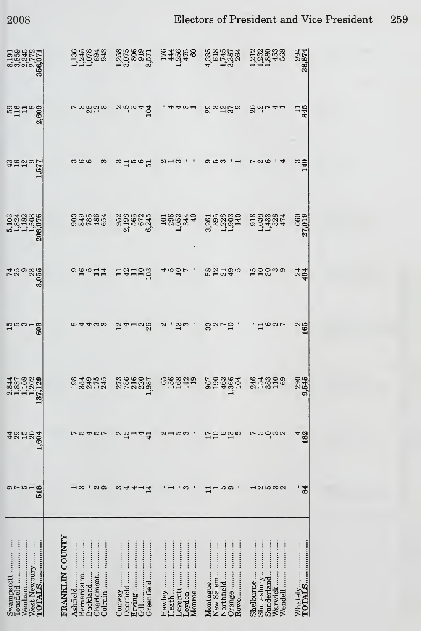| 8,191<br>8,855<br>9,345<br>9,777<br>956,071<br>956,071            | 1226823<br>122682                                                                                     | 1358885713888                                                                                      | 14974<br>14974<br>1495              | 4 1987<br>605457<br>4 1987                            | 12386388                                                        | 38,874<br><b>59</b> .874 |
|-------------------------------------------------------------------|-------------------------------------------------------------------------------------------------------|----------------------------------------------------------------------------------------------------|-------------------------------------|-------------------------------------------------------|-----------------------------------------------------------------|--------------------------|
| $^{609}_{111}$ $^{809}_{09}$                                      | 328                                                                                                   | 104                                                                                                |                                     | 29<br>အဌာန စ                                          | $\frac{20}{12}$                                                 | 11<br>345                |
| <b>3550LB</b>                                                     |                                                                                                       | $-100$<br>$\overline{5}$                                                                           |                                     |                                                       |                                                                 | इ                        |
| 5,103<br>1,824<br>1,182<br>1,508<br>208,976                       | 0395646080                                                                                            |                                                                                                    | 19883440                            | 3,265<br>39523<br>3,219,40<br>3,119,40                | 01688884<br>0033384<br>00474                                    | 660<br>27,919            |
| 3                                                                 | $-214$                                                                                                | 131193                                                                                             | r ga                                | 62235                                                 | ¤ິສັລ                                                           | 24<br>494                |
| ra 1000<br><b>CO</b><br>CO                                        |                                                                                                       | $\frac{26}{2}$<br>$\frac{2}{1}$                                                                    | $\mathbf{\Omega}$                   | $30 - 5.$                                             |                                                                 | $\frac{2}{165}$          |
| a 22022<br>42022<br>$\sim$ $  \sim$ $\sim$ $\sim$<br>$\mathbf{r}$ | 084955<br>0849545                                                                                     | 27866007<br>$\overline{\phantom{a}}$                                                               | 688819                              | 553<br>59955<br>5995                                  | 3188169                                                         | 2945                     |
| 4252<br>.604                                                      | てらそらて                                                                                                 | $\frac{25}{10}$<br>4<br>$\overline{41}$                                                            | $\alpha$ – $\alpha$ $\varpi$        | $\frac{17}{10}$<br>ဖက္အျဖ                             | ng na<br>Ņ                                                      | 182                      |
| 81<br>1919<br>1919                                                | $\alpha$<br>ಣ                                                                                         | 14<br>ຕ<br>ᡪ<br>ᡪ                                                                                  | ణ                                   | $-100$                                                | 12532                                                           | 84                       |
| West Newbury<br>TOTALS<br>lopsfield<br>Swampscott                 | <b>FRANKLIN COUNTY</b><br>$\texttt{Bernardston}$<br>Buckland<br>Charlemont<br>Colrain …….<br>Ashfield | Erving<br>Jeerfield<br>Greenfield<br>Conway<br>$\ddot{3}$ $\ddot{1}$ $\dot{3}$ $\dot{4}$ $\dot{5}$ | Heath<br>eyden<br>Monroe<br>everett | Montague<br>Rowe<br>Orange<br>New Salem<br>Northfield | <br>Shelburne<br>Warwick<br>Sunderland<br>Shutesbury<br>Wendell |                          |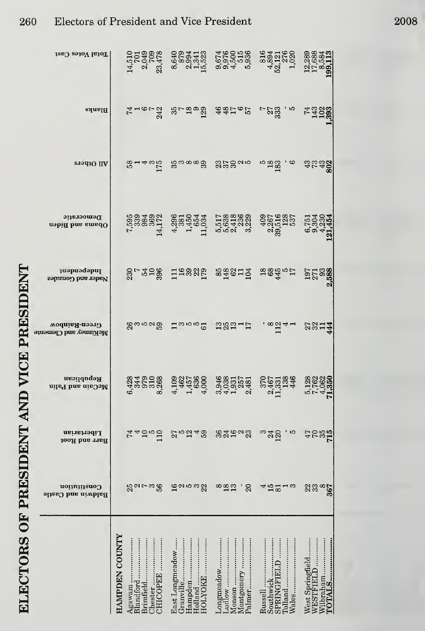| Total Votes Cast                      | 14,510<br>7013<br>2,9478<br>23,478                                                  | 8,640<br>8,994<br>2,941<br>2,523<br>15,523                     |                                                       |                                                                                                                                                                                                                                                                                                                              |                                                      |
|---------------------------------------|-------------------------------------------------------------------------------------|----------------------------------------------------------------|-------------------------------------------------------|------------------------------------------------------------------------------------------------------------------------------------------------------------------------------------------------------------------------------------------------------------------------------------------------------------------------------|------------------------------------------------------|
| <b>Blanks</b>                         |                                                                                     |                                                                |                                                       | $\begin{matrix} 5 & 0 & 0 & 0 & 0 \\ 0 & 0 & 0 & 0 & 0 \\ 0 & 0 & 0 & 0 & 0 \\ 0 & 0 & 0 & 0 & 0 \\ 0 & 0 & 0 & 0 & 0 \\ 0 & 0 & 0 & 0 & 0 \\ 0 & 0 & 0 & 0 & 0 \\ 0 & 0 & 0 & 0 & 0 \\ 0 & 0 & 0 & 0 & 0 \\ 0 & 0 & 0 & 0 & 0 \\ 0 & 0 & 0 & 0 & 0 \\ 0 & 0 & 0 & 0 & 0 \\ 0 & 0 & 0 & 0 & 0 \\ 0 & 0 & 0 & 0 & 0 \\ 0 & 0$ |                                                      |
| All Others                            |                                                                                     |                                                                |                                                       | 81486 83888888888888888888                                                                                                                                                                                                                                                                                                   |                                                      |
| Democratic<br>Obama and Biden         |                                                                                     |                                                                |                                                       | r 1 4 1 1 nova a agencia de la propondidade de la propondidade de la propondidade de la propondidade de la pro<br>Propondidade de la propondidade de la propondidade de la propondidade de la propondidade de la propondidade de<br>                                                                                         | $6,751$<br>9,304<br>4,230<br>121,454                 |
| Independent<br>Nader and Gonzalez     |                                                                                     |                                                                |                                                       | es<br>22 Europa Hawst and and all strand and all strand and all strand and all strand and all strand and all strand                                                                                                                                                                                                          |                                                      |
| Green-Rainbow<br>McKinney and Clement |                                                                                     |                                                                |                                                       | 88888 Haro B B8315 '88141                                                                                                                                                                                                                                                                                                    | 2314                                                 |
| Republican<br>McCain and Palin        |                                                                                     |                                                                |                                                       | 85884                                                                                                                                                                                                                                                                                                                        | 5,128<br>7,762<br>74,354<br>71,354                   |
| Libertarian<br><b>Barr and Root</b>   | 74900                                                                               | 25248                                                          | 32523                                                 | $^{24}_{120}$<br>w                                                                                                                                                                                                                                                                                                           | <b>47855</b><br>2855                                 |
| Constitution<br>Baldwin and Castle    | 22108<br>2010                                                                       | ဌာပေးတို့ကို                                                   | $\frac{88}{11}$<br>$\Omega$                           | $15 - 3$                                                                                                                                                                                                                                                                                                                     | $\frac{25}{36}$                                      |
|                                       | <b>HAMPDEN COUNTY</b><br>Brimfield<br>Blandford<br><b>COPEE</b><br>Agawam<br>hester | East Longmeadow<br>HOLYOKE<br>Holland<br>Granville<br>Hampden. | .udlow<br>ongmeadow<br>Montgomery<br>Monson<br>Palmer | SPRINGFIE<br>Russell<br>Southwick<br>Vales<br>olland                                                                                                                                                                                                                                                                         | Wilbraham<br>POTALS<br>West Springfield<br>WESTFIELD |

ELECTORS OF PRESIDENT AND VICE PRESIDENT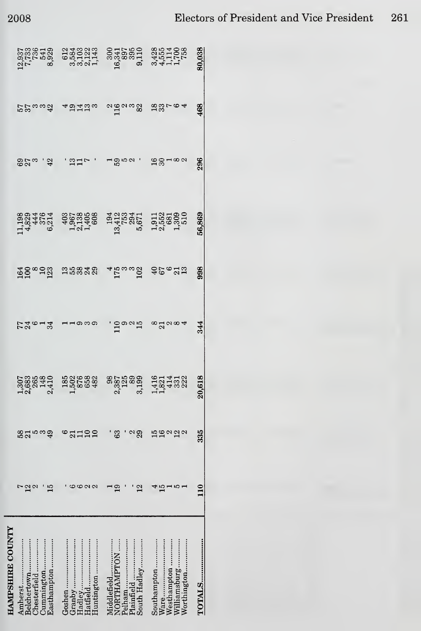| <b>HAMPSHIRE COUNTY</b>                                            |                              |                                |                                             |                              |                           |                                           |              |                      |                                                       |
|--------------------------------------------------------------------|------------------------------|--------------------------------|---------------------------------------------|------------------------------|---------------------------|-------------------------------------------|--------------|----------------------|-------------------------------------------------------|
| Amherst<br>Chesterfield                                            | $^{12}$                      | $\frac{58}{21}$<br>ю က         |                                             | <b>72613</b>                 |                           | $1,3829$<br>$4,824$<br>$6,214$<br>$6,214$ | ರಿದ್ದು , ಕ್ಷ | 55<br>55<br>56<br>54 | $\frac{12.937}{7,7330}$<br>$\frac{541}{541}$<br>8,929 |
| Easthampton                                                        | E                            | $\mathfrak{g}_p$               |                                             |                              |                           |                                           |              |                      |                                                       |
| Goshen<br>Hadley                                                   | $\circ$ a                    | 2110<br>∞<br>$\Omega$          |                                             |                              |                           |                                           | ່ສສ⊳         | 45 Tube              | 013602343<br>0501414<br>00011                         |
| South Hadley<br>NORTHAMPTON<br>Plainfield<br>Pelham<br>Middlefield | $^{2}$<br>$\mathbf{\bar{5}}$ | ස<br>29<br>$\mathbf{c}$        | 1868888<br>1568888 8856888<br>156888 865688 | ່ ສິ <sub>ຍ</sub><br>ເປີດທີ່ | ada da araaya 4600g 460da |                                           | പ്രമാ        | agang garot          | $16,395$<br>$16,395$<br>$9,395$<br>$9,110$<br>$9$     |
| Worthington<br>Southampton<br>Williamsburg<br>Westhampton          | r.<br>e                      | $\frac{15}{16}$<br>$\alpha$ ga | 1,821<br>1,821<br>4,331<br>4,332            | $\infty$ daga4               |                           |                                           | ≌ജ⊣∞         |                      | 34551758<br>3457758<br>3411758                        |
| <b>TOTALS</b>                                                      | $\frac{1}{10}$               | 335                            | 0,618                                       | 344                          | 998                       | 56,869                                    | 296          | 468                  | 80,038                                                |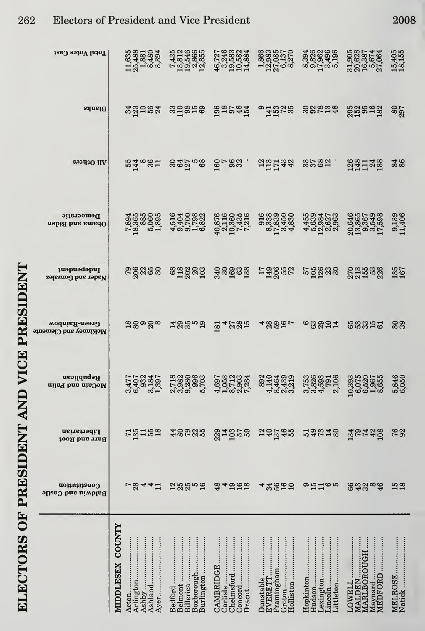| Total Votes Cast                          | 11,635<br>25,4881<br>25,480<br>3,394                                                     | 7435<br>135466<br>1354665<br>120355                         | Larges<br>2483834<br>ထွေ့<br>ထွယ်သို့သည်                                      | $\begin{array}{c} 1.866 \\ 1.2183 \\ 2.0385 \\ 6.037 \\ 6.037 \\ 7.037 \\ 8.037 \\ 9.037 \\ 1.037 \\ 1.037 \\ 1.037 \\ 1.037 \\ 1.037 \\ 1.037 \\ 1.037 \\ 1.037 \\ 1.037 \\ 1.037 \\ 1.037 \\ 1.037 \\ 1.037 \\ 1.037 \\ 1.037 \\ 1.037 \\ 1.037 \\ 1.037 \\ 1.037 \\ 1.037 \\ 1.037 \\ 1.037 \\ $ |                                         | $\begin{array}{c} 31,905 \\ 20,628 \\ 16,8374 \\ 5,674 \\ 5,7,664 \\ \end{array}$ | 15,405<br>18,155  |
|-------------------------------------------|------------------------------------------------------------------------------------------|-------------------------------------------------------------|-------------------------------------------------------------------------------|-----------------------------------------------------------------------------------------------------------------------------------------------------------------------------------------------------------------------------------------------------------------------------------------------------|-----------------------------------------|-----------------------------------------------------------------------------------|-------------------|
| Blanks                                    | 332583                                                                                   | sugges                                                      |                                                                               | <b>Bagaz o HBG</b> 8                                                                                                                                                                                                                                                                                | <b>888548</b>                           | 22889                                                                             | 80<br>297         |
| <b>ST9d3O IIA</b>                         | <b>1948511</b>                                                                           | <u>အထိုး အ</u>                                              | <b>BL 23 , SH 55 35</b>                                                       |                                                                                                                                                                                                                                                                                                     | 3582                                    | 231138                                                                            | 38                |
| Democratic<br>Obama and Biden             | $\begin{array}{c} 7.894 \\ 18.365 \\ 5.885 \\ 65 \\ 65 \\ 7.895 \\ 1.895 \\ \end{array}$ |                                                             | $\begin{array}{c} 40,876 \\ 2,1160 \\ 10,435 \\ 7,7316 \\ 7,7316 \end{array}$ | $\begin{array}{c} 016 \\ 0133 \\ 0333 \\ 0450 \\ 0483 \\ 0483 \\ \end{array}$                                                                                                                                                                                                                       | 45594753<br>453947<br>4593275<br>459475 | 20,646<br>13,865<br>0,549<br>17,598<br>17,598                                     | 9,139<br>11,406   |
| Independent<br>Nader and Gonzalez         | នន័ឌនួន                                                                                  |                                                             | eggeg gegeg                                                                   | 13882                                                                                                                                                                                                                                                                                               | <b>pages</b>                            | 2755388                                                                           | 135<br>167        |
| Green-Rainbow<br>McKinney and Clemente    | జౖ౭ౢౚ౭ౢౚ                                                                                 | 13359                                                       | $\Xi$ $4285$                                                                  | $48992 - 4892$                                                                                                                                                                                                                                                                                      | <b>cagor</b>                            | 63355                                                                             | 33                |
| Republican<br>McCain and Palin            | 440162<br>က ယ<br>$\infty$ $\rightarrow$                                                  | <b>Eggas</b><br>ທ໌<br>လတ်တ                                  | 0001004<br>சு புல்லு                                                          | 8204999<br>က်<br>ကြောင်းကို                                                                                                                                                                                                                                                                         | 75363106<br>0.82679106<br>0.04 2        | 0.0007<br>0.0007<br>0.0007<br>0.0010<br>$\overline{9}$                            | 5,846<br>6,050    |
| Libertarian<br>Barr and Root              | rgass                                                                                    | 48285                                                       |                                                                               | 142468                                                                                                                                                                                                                                                                                              | 54213                                   | 32438                                                                             | 762               |
| Constitution<br><b>Baldwin and Castle</b> | $-8441$                                                                                  | 28858                                                       | <b>84558</b>                                                                  | 3582<br>⇥                                                                                                                                                                                                                                                                                           | のおは65                                   | <b>892</b> 84                                                                     | $\frac{15}{18}$   |
|                                           | <b>COUNTY</b><br>Arlington<br><b>MIDDLESEX</b><br>Ayer………<br>Acton                       | Burlington<br>Billerica<br>Boxborough<br>Belmont<br>Bedford | Carlisle<br>CAMBRIDGE<br>Dracut<br>Chelmsford                                 | <br>Framingham<br>EVERETT<br>$Groton$<br>Holliston<br>Dunstable                                                                                                                                                                                                                                     | .ittleton<br>exington<br>Hopkinton      | MARLBOROUGH<br>MEDFORD<br><b>MALDEN</b><br>LOWELL<br>Maynard                      | Natick<br>MELROSE |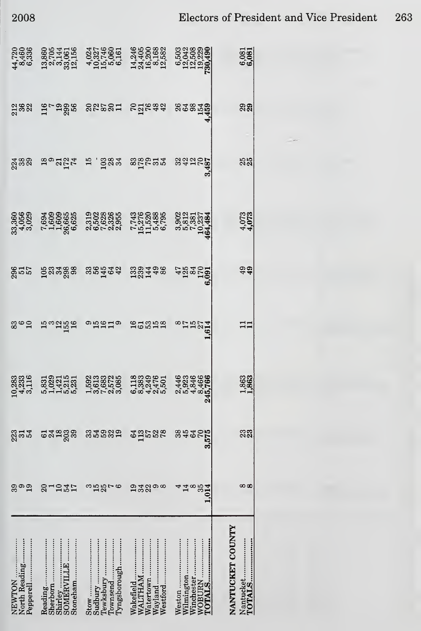| North Reading<br>Pepperell<br>NEWTON | Sherborn<br>Reading<br>Shirley<br>SOMERVII<br>Stoneham           | I'yngsborough.<br>Sudbury<br>Stow<br><b>Tewksbury</b><br>l'ownsend                                                                                                                                                               | Wakefield<br>Wayland<br>Westford<br><b>WALLTHAM</b><br>Watertown | Winchester<br>WOBURN<br>FOTALS<br>Wilmington.<br>Weston              | NANTUCKET COUNTY |
|--------------------------------------|------------------------------------------------------------------|----------------------------------------------------------------------------------------------------------------------------------------------------------------------------------------------------------------------------------|------------------------------------------------------------------|----------------------------------------------------------------------|------------------|
| အ<br>$\frac{9}{1}$                   | 237<br>ສ                                                         | <b>158</b>                                                                                                                                                                                                                       | 32<br>တ ထ                                                        | 14<br>$\infty$<br>೫<br>.014                                          | ∞∝               |
| ನ್ಷಿ ಪ್ರಸ್ತ                          | ದನೆ ದೆದ್ದಿ ಇ                                                     | 5522<br>33                                                                                                                                                                                                                       |                                                                  | 38<br>45<br>38<br>3,575                                              | ಬಿದಿ             |
| $10,283$<br>$4,233$<br>$3,116$       | 53331531<br>533421531<br>511553                                  |                                                                                                                                                                                                                                  | 0030001<br>10047601<br>1004010                                   | $\overline{24}$                                                      | 1,863            |
|                                      |                                                                  |                                                                                                                                                                                                                                  |                                                                  |                                                                      | $\Xi$            |
|                                      |                                                                  | eco a consegue de consegue de consegue de consegue de consegue de consegue de consegue de consegue de consegue<br>Santo de consegue de consegue de consegue de consegue de consegue de consegue de consegue de consegue de conse |                                                                  |                                                                      | $rac{6}{49}$     |
|                                      | 3360<br>334058<br>3343030865<br>743009655<br>743009555           | 2022365 7362885<br>2023865 7362886<br>2023865 7362886                                                                                                                                                                            |                                                                  | $3,902$<br>$5,812$<br>$7,381$<br>$10,237$<br>$10,237$<br>$164,484$   | 4,073<br>4,073   |
|                                      |                                                                  | ered and a second agon a second agon a second agon a second a second and a second a second a second a second a<br>Second a second a second a second a second a second a second a second a second a second a second a second a se |                                                                  |                                                                      | 35 <sub>0</sub>  |
|                                      |                                                                  | gaa graga aasan                                                                                                                                                                                                                  | chkaa gaarta                                                     |                                                                      | ನಿ               |
| 44,720<br>8,460<br>6,336             | 13,860<br>2,705156<br>2,3257446<br>2,033,744660<br>4,03274660516 |                                                                                                                                                                                                                                  | 14,246<br>24,200<br>16,1682<br>12,582<br>12,582                  | $6,503$<br>$12,508$<br>$12,508$<br>$19,229$<br>$19,490$<br>$730,490$ | 6,081            |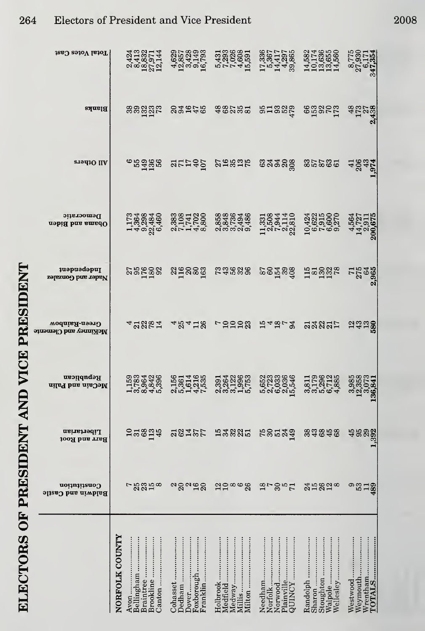|                                           | NORFOLK COUNTY | Bellingham<br>Avon | Brookline<br>Braintree                  | Cohasset<br>Dedham<br>Oover                   | Franklin<br>Foxborough | Holbrook<br>Medfield | Milton<br>Medway<br>Millis                  | Needham<br>Norfolk    | Norwood<br>Plainville<br>SONINGY                                              |        | Sharon<br>Stoughton                                                         | Walpole<br>Wellesley | Westwood<br>Weymouth                                 | <b>FOTALS</b><br>$W$ rentham                |
|-------------------------------------------|----------------|--------------------|-----------------------------------------|-----------------------------------------------|------------------------|----------------------|---------------------------------------------|-----------------------|-------------------------------------------------------------------------------|--------|-----------------------------------------------------------------------------|----------------------|------------------------------------------------------|---------------------------------------------|
| Constitution<br><b>Baldwin and Castle</b> |                | r                  | 8858                                    | ಇ8ವದ8                                         |                        |                      | 22888                                       | $\frac{8}{7}$         | 3007                                                                          |        | 35828                                                                       |                      | ຶ<br>53                                              | $\frac{13}{489}$                            |
| Libertarian<br>Barr and Root              |                |                    | 38014                                   | 23427                                         |                        |                      | <b>H&amp;&amp;&amp;H</b>                    |                       | <b>225342</b>                                                                 |        | 33858                                                                       |                      |                                                      | 458232<br>1.392                             |
| Republican<br>McCain and Palin            |                |                    | 1583428<br>1583428<br>15845             | 2561468515617                                 |                        |                      |                                             |                       |                                                                               |        | ararigo<br><b>39564</b>                                                     |                      |                                                      | တ်တြံ့တို့                                  |
| Green-Rainbow<br>McKinney and Clemen      |                |                    |                                         |                                               |                        |                      | 4 3821 48418 52228 54253 33835              |                       |                                                                               |        |                                                                             |                      | <b>2338</b>                                          |                                             |
| Independent<br>Nader and Gonzalez         |                |                    |                                         |                                               |                        |                      |                                             |                       |                                                                               |        |                                                                             |                      |                                                      |                                             |
| Democratic<br>nebiff bna amadO            |                |                    | 173648460<br>14584460<br>1458460        | 23321128<br>201128<br>201138                  |                        |                      | 85886486<br>8845448<br>88668                |                       | $11,331$<br>$7,5044$<br>$7,5044$<br>$7,114$<br>$22,810$                       |        | 10,424<br>6,622<br>0,6315<br>0,000<br>0,27701                               |                      |                                                      | $\frac{4,564}{14,727}$<br>14,727<br>200.675 |
| <b>PHOthers</b>                           |                |                    |                                         | erase strag grasse                            |                        |                      |                                             | <b>ಔ</b> ಷತವಿಜ್ಞ      |                                                                               | ಜಾಜಹಿತ |                                                                             |                      | $40045$<br>$4000$                                    |                                             |
| Blanks                                    |                |                    |                                         | ssäät saate                                   |                        | 46258                |                                             | <b>RH225</b><br>21225 |                                                                               |        | $\overset{\text{\normalsize{69}}}{\text{\normalsize{1}}}$                   |                      | $\frac{48}{172}$<br>$\frac{27}{43}$<br>$\frac{3}{4}$ |                                             |
| Total Votes Cast                          |                |                    | 2423<br>25327144<br>25327144<br>2527144 | 4,629<br>12,857<br>12,429<br>16,793<br>16,793 |                        |                      | 5,431<br>7,293<br>7,026<br>15,591<br>15,591 |                       | $\begin{array}{c} 17.336 \\ 17.3417 \\ 5.417 \\ 14.297 \\ 39.865 \end{array}$ |        | $\begin{array}{c} 14,582\\ 10,174\\ 10,635\\ 13,655\\ 14,560\\ \end{array}$ |                      |                                                      | 8,775<br>27,930<br>6,171<br>347,354         |

 $\mathbf{a}$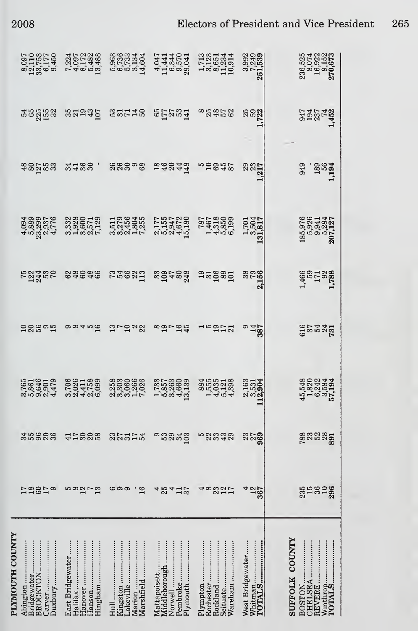| 2008 |  |  |
|------|--|--|
|      |  |  |

| PLYMOUTH COUNTY | Bridgewater<br><br>Duxbury<br>BROCKTON<br>Carver<br>Abington | Halifax<br><b>East Bridgewater</b><br>Hanover | .akeville<br>Marshfield<br>Marion                         | Pembroke<br>Norwell<br>Middleborough<br>Mattapoisett<br>Plymouth                     | Wareham<br>Plympton<br>Rochester<br>Scituate<br>Rockland | Whitman<br><b>TOTALS</b><br>West Bridgewater | <b>SUFFOLK COUNTY</b><br><br>REVERE<br><b>CHELSEA</b><br>BOSTON. |
|-----------------|--------------------------------------------------------------|-----------------------------------------------|-----------------------------------------------------------|--------------------------------------------------------------------------------------|----------------------------------------------------------|----------------------------------------------|------------------------------------------------------------------|
|                 | <b>E2859</b>                                                 | $\frac{580}{2}$                               | <u>ဖေ ထာ</u><br>16                                        | $4\frac{5}{2}$<br>4<br>$\frac{137}{2}$                                               | $4\,\infty$<br>325                                       | $\frac{4}{25}$                               | 3558288                                                          |
|                 | 35988                                                        | 412228                                        | 221542                                                    | 53<br>34.03<br>ග                                                                     | n 2333<br>1942                                           | 259                                          | <b>283850</b>                                                    |
|                 | 2504019<br>2604014<br>260914                                 | 00011899<br>00011699<br>0001100               | 8830668<br>889688<br>889820                               | $\begin{array}{c}\n 1.735 \\  1.8300 \\  1.6300 \\  1.6340 \\  1.6340\n \end{array}$ | 14523845545                                              | 2,163<br>2,531<br>2,904                      | 45,320<br>182042344<br>45,824<br>45,934                          |
|                 | 28595                                                        | $\alpha \alpha$ 4 $\alpha$ a                  | ຕະລ $\approx$                                             | $892 - 25$                                                                           | 100272                                                   | <b>9827</b><br>1487                          | <b>25332</b>                                                     |
|                 | <b>52435</b><br>12455                                        | 83638                                         | s<br>Example Basta Basta Sandara<br>Example Basta Sandara |                                                                                      |                                                          |                                              | $1,466$<br>$1738$<br>$1738$<br>$1,788$                           |
|                 | 45030776<br>450307776<br>450307776                           | 33800129<br>33805129<br>319001                | n 1186456<br>5004808<br>500011                            | $\begin{array}{c} 2,177 \\ 5,155 \\ 2,947 \\ 2,672 \\ 15,180 \end{array}$            | 787<br>1467<br>145850<br>14590                           | $\frac{1,701}{3,504}$<br>$.31,817$           | 185,976<br>5,926<br>5,9341<br>5,284<br>207,127                   |
|                 | န္မွစ္တည္မွစ္မယ္                                             | <b>3432, 28298</b>                            |                                                           | 88848                                                                                | re de de la                                              | 29<br>23<br>1217<br>1217                     | 949<br>1816<br>111                                               |
|                 |                                                              | nega saaad sarag                              |                                                           | <b>REZURE 88828</b>                                                                  |                                                          | <b>25221</b>                                 | 245<br>2005<br>2014<br>2014                                      |
|                 | 8097<br>115575<br>23369<br>809                               | 7397<br>0007488<br>748288                     | 5,7234<br>5,7234<br>5,034<br>5,004                        | 4,047<br>11,441<br>16,870<br>9,041<br>29,041                                         | 1,7123<br>1,1251<br>110,914<br>110,914                   | $\frac{3,992}{7,249}$<br>251,539             | $236,525$ $16,922$ $1522$ $270,673$                              |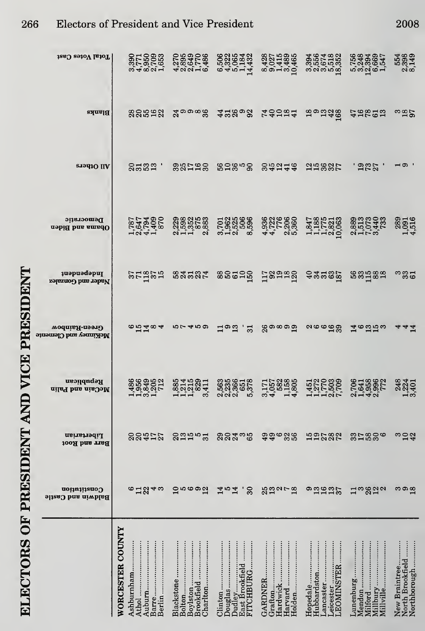| Total Votes Cast                          |                                              | 059306<br>06957486<br>40010                     | 00210422<br>0020432<br>04014                      | 887<br>0274896<br>001489                        |                                                                              |                                                        | 554<br>2,398<br>8,149                             |
|-------------------------------------------|----------------------------------------------|-------------------------------------------------|---------------------------------------------------|-------------------------------------------------|------------------------------------------------------------------------------|--------------------------------------------------------|---------------------------------------------------|
|                                           |                                              |                                                 |                                                   |                                                 |                                                                              | 5, 756<br>5, 2394<br>5, 2394<br>5, 547<br>5, 2947      |                                                   |
| Blanks                                    | ននិងដន                                       | $x^2$ သတ္တ $x^2$                                | 4280%                                             | <b>40024</b>                                    | 199246                                                                       | <b>29823</b>                                           | ີ $\frac{35}{25}$                                 |
| <b>ST9d1O IIA</b>                         | 2132.                                        | <b>321828</b>                                   | 82858                                             | <b>255746</b>                                   | 212885                                                                       | <b>.</b> ១៩៥                                           | ⊣െ                                                |
|                                           |                                              |                                                 |                                                   |                                                 |                                                                              |                                                        |                                                   |
| Democratic<br>Obama and Biden             | 1,787<br>2,647<br>1,409<br>1,409<br>1,409    | 22298<br>23522<br>25528<br>2883                 | 7018886<br>7962566<br>318566<br>3186              | <b>9825888</b><br>44<br><b>QUO</b>              | 1,347<br>1,15821<br>1,1683<br>1,063                                          |                                                        | 289<br>1,091<br>4,516                             |
|                                           |                                              |                                                 |                                                   |                                                 |                                                                              |                                                        |                                                   |
| <b>u</b> spusdapul<br>Nader and Gonzalez  | 21225                                        | <b>EXERT</b>                                    | 88526                                             | 13228                                           | ್ಷ ಜೆಪ್ಪೂ                                                                    | <b>88588</b>                                           | ಾಜದ                                               |
| Green-Rainbow<br>McKinney and Clemente    | $\frac{65404}{6}$                            | いしょ この                                          | $\Xi$ .<br>$\Xi$<br>່ສ                            | ၛၘၜၷၜၛႍ                                         | လူပေမည္ဆ                                                                     | ದೆ ಹಿದರು                                               | 44                                                |
|                                           |                                              |                                                 |                                                   |                                                 |                                                                              |                                                        |                                                   |
| Republican<br>McCain and Palin            | 498927<br>$-1$ $ \infty$ $-1$                | 88145811<br>88158211<br>က                       | <b>2222222</b><br>222222<br>$N$ $N$ $N$<br>LO     | 3,171<br>4,052<br>4,158<br>4,805<br>4,805       | 4277099<br>$-1 - 1 - 0$                                                      | <b>0018902</b><br>000902<br>$\alpha - \alpha$          | 248<br>2244<br>324<br>$\rightarrow \infty$        |
|                                           |                                              |                                                 |                                                   |                                                 |                                                                              |                                                        |                                                   |
| Libertarian<br>Barr and Root              | 22572                                        | <b>Shared</b>                                   | 22435                                             | 996<br>326                                      | 122227                                                                       | 37886                                                  | ္ကေတ္သ                                            |
| Constitution<br><b>Baldwin and Castle</b> | $6 - 2240$                                   | ဌ။ ဖေစဥ္မျ                                      | 30 <sub>o</sub><br><b>454</b>                     | 23278                                           | ongan<br>Santa                                                               | <b>13823</b>                                           | $\frac{3}{2}$                                     |
|                                           |                                              |                                                 |                                                   |                                                 |                                                                              |                                                        |                                                   |
|                                           |                                              |                                                 |                                                   |                                                 |                                                                              |                                                        |                                                   |
|                                           |                                              | $\vdots$                                        |                                                   |                                                 |                                                                              |                                                        |                                                   |
|                                           | <b>WORCESTER COUNTY</b><br>thol<br>shburnham | Blackstone<br>harlton<br>Boylston<br>Brookfield | )udley<br>Jouglas<br>FITCHBURG<br>East Brookfield | lardwick<br>larvard<br><b>GARDNER</b><br>Holden | Hubbardston<br>Hopedale<br>ancaster<br><b>ELCENEL :::::::::</b><br>EOMINSTER | Aillbury<br>Aillville<br>filford<br>Iendon<br>amenburg | Northborough<br>North Brookfield<br>New Braintree |
|                                           |                                              |                                                 |                                                   |                                                 | eicester                                                                     |                                                        |                                                   |

ELECTORS OF PRESIDENT AND VICE PRESIDENT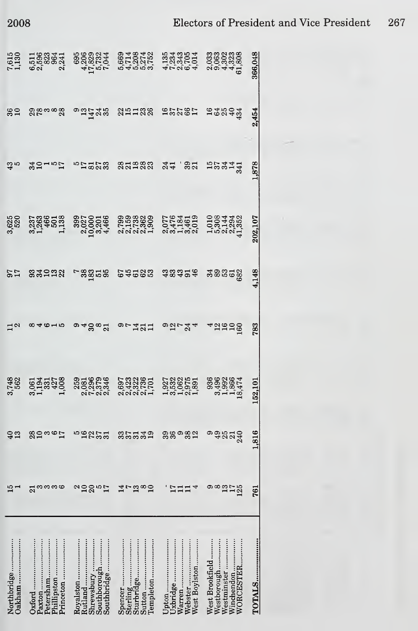695<br>42029<br>412044<br>50744

694842 544954 8828386<br>675855 133550 8688386<br>64666 103560 8698386

| 36 <sub>0</sub>       | ಙೢಁೲೲಙೢ                                                   | 9.2748                                                                              |                                                          | <b>251222 25265</b>                     | 162543                                                                   | 2,454   |  |
|-----------------------|-----------------------------------------------------------|-------------------------------------------------------------------------------------|----------------------------------------------------------|-----------------------------------------|--------------------------------------------------------------------------|---------|--|
| ದೆ. ಬ                 | 201 m b 2                                                 |                                                                                     | <b>231283</b>                                            | 321<br>241                              | 157441                                                                   | 1,878   |  |
| 3,625                 | 3,237<br>1,2466<br>1,138<br>1,138                         | $\begin{array}{c} 399 \\ 3927 \\ 2,0201 \\ 10,0001 \\ 3,4466 \end{array}$           | 22222 22450<br>22222 23450<br>23232 24450                |                                         | $1,010$ $0.308$ $0.3044$ $0.3044$ $0.41,352$                             | 202,107 |  |
| <b>27</b>             | 33222                                                     | - 28258                                                                             | 64665 48494                                              |                                         | 333552                                                                   | 4,148   |  |
| $\frac{1}{2}$         | $\frac{1}{2}$                                             | 94884                                                                               | $rac{1}{2}$                                              | $\Omega_{\text{N}}$ $\Omega_{\text{N}}$ | 42500                                                                    | 783     |  |
| 3,748<br>562          | 3,061<br>1,194<br>1,331<br>1,008                          |                                                                                     | 0033861<br>043261<br>000011                              | 1322551<br>032550<br>131050             | 936<br>3,496<br>1,866<br>18,474<br>18,474                                | 152,101 |  |
| $\frac{4}{3}$         | 2023<br>2025                                              | 52255                                                                               | sanda sagasa                                             |                                         | oggada                                                                   | 816     |  |
| $\frac{15}{11}$       | <u>က က က ယ</u><br>ដ                                       | ลารี ซี <i>น</i>                                                                    | $\sharp$ rg<br>$\frac{\infty}{1}$                        | $17$<br>$11$<br>4<br>$\mathbf{1}$       | တ ထ<br>$\frac{13}{175}$                                                  | 761     |  |
| Oakham<br>Northbridge | Oxford<br>Paxton<br>Phillipston<br>Princeton<br>Petersham | Southborough<br>Royalston<br>Rutland<br>Southbridge<br>$\ddot{\cdot}$<br>Shrewsbury | Templeton<br>Sterling<br>Sturbridge<br>Spencer<br>Sutton | Webster<br>Uxbridge<br>West Boylston    | WORCESTER<br>Winchendon<br>Westminster<br>Westborough<br>West Brookfield | TOTALS  |  |

366,048

 $7,615$ <br> $1,130$ 

5583341<br>5583541<br>620 234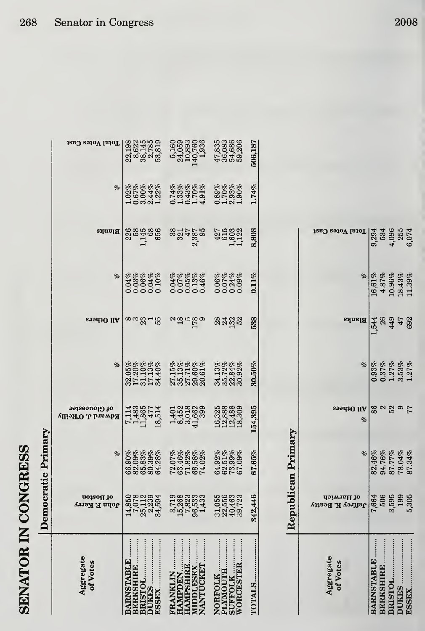| 288588<br>2854688<br>285<br>Blanks<br>$\frac{35}{25}$ $\frac{25}{25}$<br>$427$<br>$4503$<br>$1503$<br>$1122$<br>%<br>8888888<br>0000000<br>000000<br>$\begin{array}{c} 0.06\% \\ 0.07\% \\ 0.24\% \\ 0.09\% \end{array}$<br>0.04%<br>0.07%<br>0.05%<br>0.05%<br>0.046%<br>∞∞ஐ⊣ಣ<br><u>ಇನ್ವಾ</u> ಜ<br>All Others<br><u>လ္ထိ မထိ</u><br>လက္ထိ မဟု<br>$\begin{array}{l} 27.15\% \\ 25.13\% \\ 35.13\% \\ 29.60\% \\ 20.61\% \end{array}$<br>$\begin{array}{l} 34.13\% \\ 35.72\% \\ 20.84\% \\ 30.92\% \end{array}$<br>%<br>$\begin{array}{l} 32.05\% \\ 17.20\% \\ 11.10\% \\ 17.13\% \\ 17.13\% \\ 34.40\% \end{array}$<br>16,325<br>12,888<br>12,480<br>18,309<br>of Gloucester<br>$1452\n8452\n962\n41\n99\n41\n109\n109$<br>7,114<br>11,483<br>11,865<br>18,514<br>18,514<br><b>Edward J. O'Reilly</b><br>$\begin{array}{l} 66.90\% \\ 69.09\% \\ 82.03\% \\ 65.39\% \\ 60.39\% \\ 64.28\% \end{array}$<br>$\begin{array}{l} 72.07\% \\ 73.46\% \\ 71.82\% \\ 68.58\% \\ 74.02\% \end{array}$<br>$\begin{array}{l} 64.92\% \\ 62.51\% \\ 73.99\% \\ 67.09\% \end{array}$<br>%<br>55633<br>05592<br>nf Boston<br>8801834<br><b>7383333</b><br>7382533<br>,χ<br>м<br>uųvį<br>owar<br>1898<br>284<br>acides<br>Argua<br>Aggregate<br><b>AMPSHIRE.</b><br>ARNSTABLE<br>of Votes<br>ORCESTER<br><b>ANTUCKET</b><br>ERKSHIRE<br><b>IDDLESEX</b><br>LYMOUTH.<br>UFFOLK<br>ORFOLK.<br>UKES<br><b>RANKLIN</b><br><b>AMPDEN</b><br>RISTOL.<br>SSEX. |              | Demo         | ocratic Primary |         |           |     |          |       |                                           |                               |
|---------------------------------------------------------------------------------------------------------------------------------------------------------------------------------------------------------------------------------------------------------------------------------------------------------------------------------------------------------------------------------------------------------------------------------------------------------------------------------------------------------------------------------------------------------------------------------------------------------------------------------------------------------------------------------------------------------------------------------------------------------------------------------------------------------------------------------------------------------------------------------------------------------------------------------------------------------------------------------------------------------------------------------------------------------------------------------------------------------------------------------------------------------------------------------------------------------------------------------------------------------------------------------------------------------------------------------------------------------------------------------------------------------------------------------------------|--------------|--------------|-----------------|---------|-----------|-----|----------|-------|-------------------------------------------|-------------------------------|
|                                                                                                                                                                                                                                                                                                                                                                                                                                                                                                                                                                                                                                                                                                                                                                                                                                                                                                                                                                                                                                                                                                                                                                                                                                                                                                                                                                                                                                             |              |              |                 |         |           |     |          |       | %                                         |                               |
|                                                                                                                                                                                                                                                                                                                                                                                                                                                                                                                                                                                                                                                                                                                                                                                                                                                                                                                                                                                                                                                                                                                                                                                                                                                                                                                                                                                                                                             |              |              |                 |         |           |     |          |       | 2028<br>0.678<br>0.67448<br>1.228         | 00014001<br>0001601<br>000010 |
|                                                                                                                                                                                                                                                                                                                                                                                                                                                                                                                                                                                                                                                                                                                                                                                                                                                                                                                                                                                                                                                                                                                                                                                                                                                                                                                                                                                                                                             |              |              |                 |         |           |     |          |       | 0.74%<br>1.33%<br>0.43%<br>4.91%<br>4.91% | 5168866<br>5388568<br>5391911 |
|                                                                                                                                                                                                                                                                                                                                                                                                                                                                                                                                                                                                                                                                                                                                                                                                                                                                                                                                                                                                                                                                                                                                                                                                                                                                                                                                                                                                                                             |              |              |                 |         |           |     |          |       | $0.89%$<br>$1.70%$<br>$2.93%$<br>$1.90%$  | 38882<br>2838<br>4358         |
|                                                                                                                                                                                                                                                                                                                                                                                                                                                                                                                                                                                                                                                                                                                                                                                                                                                                                                                                                                                                                                                                                                                                                                                                                                                                                                                                                                                                                                             | <b>OTALS</b> | 146<br>342,4 | 67.65%          | 154,395 | $30.50\%$ | 538 | $0.11\%$ | 8,808 | 1.74%                                     | 506,18                        |

|                       |                                 | Republican Primary                          |             |                                                                                                      |           |                                                                                                                                |                                            |  |
|-----------------------|---------------------------------|---------------------------------------------|-------------|------------------------------------------------------------------------------------------------------|-----------|--------------------------------------------------------------------------------------------------------------------------------|--------------------------------------------|--|
| Aggregate<br>of Votes | de Harwich<br>Jeffrey K. Beatty |                                             | eradio<br>% |                                                                                                      | Blanks    |                                                                                                                                | Total Votes Cast                           |  |
| BARNSTABLE            | 7,664<br>506                    | *<br>83.16%<br>83.172%<br>85.172%<br>87.34% | 86          | $\begin{array}{r} 8 \\ 8 \\ 0.93\% \\ 0.37\% \\ 0.127\% \\ 1.273\% \\ 1.273\% \\ 1.27\% \end{array}$ | 1,544     | $\begin{array}{r} \ast \  \  \, \ast \  \  \, 16.61\%\ \, \\ 16.87\%\ \, \\ 1.39\%\ \, \\ 10.96\%\ \, \\ 12.39\%\ \end{array}$ |                                            |  |
| <b>SERKSHIRE </b>     |                                 |                                             |             |                                                                                                      |           |                                                                                                                                |                                            |  |
|                       |                                 |                                             | 52          |                                                                                                      | 26<br>449 |                                                                                                                                |                                            |  |
| <b>JUKES </b>         | 3,595<br>199<br>5,305           |                                             |             |                                                                                                      | 47        |                                                                                                                                |                                            |  |
| <b>ISSEX</b>          |                                 |                                             | 77          |                                                                                                      | 692       |                                                                                                                                | 9294<br>534<br>955<br>955<br>9574<br>95074 |  |
|                       |                                 |                                             |             |                                                                                                      |           |                                                                                                                                |                                            |  |